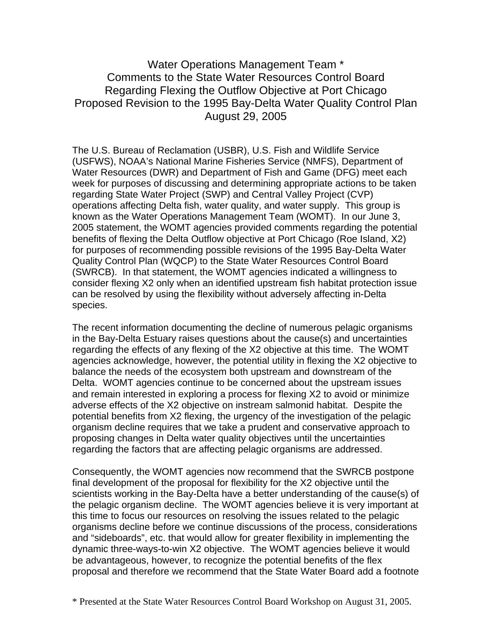Water Operations Management Team \* Comments to the State Water Resources Control Board Regarding Flexing the Outflow Objective at Port Chicago Proposed Revision to the 1995 Bay-Delta Water Quality Control Plan August 29, 2005

The U.S. Bureau of Reclamation (USBR), U.S. Fish and Wildlife Service (USFWS), NOAA's National Marine Fisheries Service (NMFS), Department of Water Resources (DWR) and Department of Fish and Game (DFG) meet each week for purposes of discussing and determining appropriate actions to be taken regarding State Water Project (SWP) and Central Valley Project (CVP) operations affecting Delta fish, water quality, and water supply. This group is known as the Water Operations Management Team (WOMT). In our June 3, 2005 statement, the WOMT agencies provided comments regarding the potential benefits of flexing the Delta Outflow objective at Port Chicago (Roe Island, X2) for purposes of recommending possible revisions of the 1995 Bay-Delta Water Quality Control Plan (WQCP) to the State Water Resources Control Board (SWRCB). In that statement, the WOMT agencies indicated a willingness to consider flexing X2 only when an identified upstream fish habitat protection issue can be resolved by using the flexibility without adversely affecting in-Delta species.

The recent information documenting the decline of numerous pelagic organisms in the Bay-Delta Estuary raises questions about the cause(s) and uncertainties regarding the effects of any flexing of the X2 objective at this time. The WOMT agencies acknowledge, however, the potential utility in flexing the X2 objective to balance the needs of the ecosystem both upstream and downstream of the Delta. WOMT agencies continue to be concerned about the upstream issues and remain interested in exploring a process for flexing X2 to avoid or minimize adverse effects of the X2 objective on instream salmonid habitat. Despite the potential benefits from X2 flexing, the urgency of the investigation of the pelagic organism decline requires that we take a prudent and conservative approach to proposing changes in Delta water quality objectives until the uncertainties regarding the factors that are affecting pelagic organisms are addressed.

Consequently, the WOMT agencies now recommend that the SWRCB postpone final development of the proposal for flexibility for the X2 objective until the scientists working in the Bay-Delta have a better understanding of the cause(s) of the pelagic organism decline. The WOMT agencies believe it is very important at this time to focus our resources on resolving the issues related to the pelagic organisms decline before we continue discussions of the process, considerations and "sideboards", etc. that would allow for greater flexibility in implementing the dynamic three-ways-to-win X2 objective. The WOMT agencies believe it would be advantageous, however, to recognize the potential benefits of the flex proposal and therefore we recommend that the State Water Board add a footnote

<sup>\*</sup> Presented at the State Water Resources Control Board Workshop on August 31, 2005.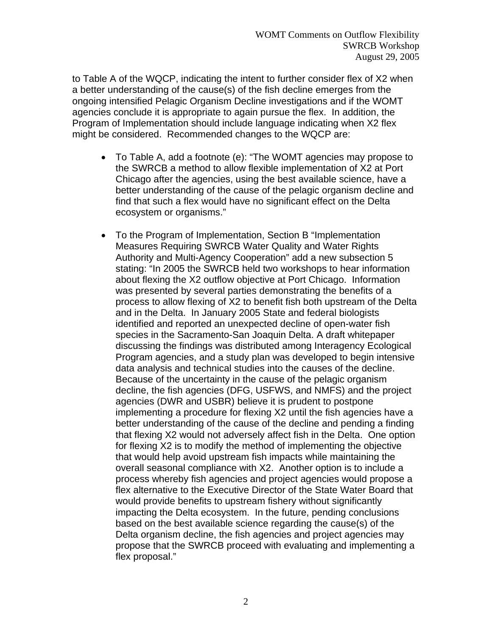to Table A of the WQCP, indicating the intent to further consider flex of X2 when a better understanding of the cause(s) of the fish decline emerges from the ongoing intensified Pelagic Organism Decline investigations and if the WOMT agencies conclude it is appropriate to again pursue the flex. In addition, the Program of Implementation should include language indicating when X2 flex might be considered. Recommended changes to the WQCP are:

- To Table A, add a footnote (e): "The WOMT agencies may propose to the SWRCB a method to allow flexible implementation of X2 at Port Chicago after the agencies, using the best available science, have a better understanding of the cause of the pelagic organism decline and find that such a flex would have no significant effect on the Delta ecosystem or organisms."
- To the Program of Implementation, Section B "Implementation Measures Requiring SWRCB Water Quality and Water Rights Authority and Multi-Agency Cooperation" add a new subsection 5 stating: "In 2005 the SWRCB held two workshops to hear information about flexing the X2 outflow objective at Port Chicago. Information was presented by several parties demonstrating the benefits of a process to allow flexing of X2 to benefit fish both upstream of the Delta and in the Delta. In January 2005 State and federal biologists identified and reported an unexpected decline of open-water fish species in the Sacramento-San Joaquin Delta. A draft whitepaper discussing the findings was distributed among Interagency Ecological Program agencies, and a study plan was developed to begin intensive data analysis and technical studies into the causes of the decline. Because of the uncertainty in the cause of the pelagic organism decline, the fish agencies (DFG, USFWS, and NMFS) and the project agencies (DWR and USBR) believe it is prudent to postpone implementing a procedure for flexing X2 until the fish agencies have a better understanding of the cause of the decline and pending a finding that flexing X2 would not adversely affect fish in the Delta. One option for flexing X2 is to modify the method of implementing the objective that would help avoid upstream fish impacts while maintaining the overall seasonal compliance with X2. Another option is to include a process whereby fish agencies and project agencies would propose a flex alternative to the Executive Director of the State Water Board that would provide benefits to upstream fishery without significantly impacting the Delta ecosystem. In the future, pending conclusions based on the best available science regarding the cause(s) of the Delta organism decline, the fish agencies and project agencies may propose that the SWRCB proceed with evaluating and implementing a flex proposal."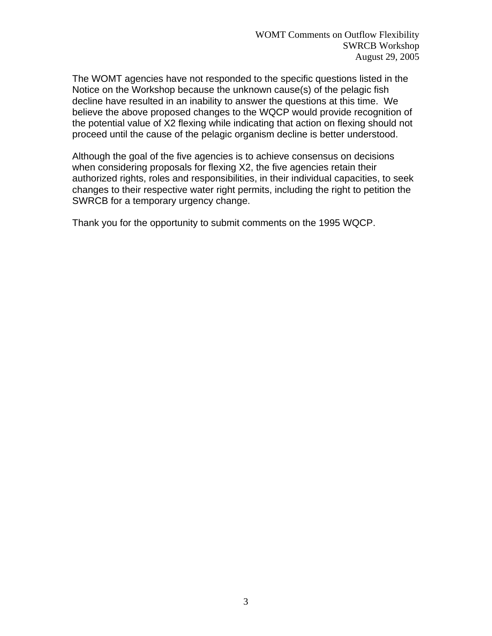The WOMT agencies have not responded to the specific questions listed in the Notice on the Workshop because the unknown cause(s) of the pelagic fish decline have resulted in an inability to answer the questions at this time. We believe the above proposed changes to the WQCP would provide recognition of the potential value of X2 flexing while indicating that action on flexing should not proceed until the cause of the pelagic organism decline is better understood.

Although the goal of the five agencies is to achieve consensus on decisions when considering proposals for flexing X2, the five agencies retain their authorized rights, roles and responsibilities, in their individual capacities, to seek changes to their respective water right permits, including the right to petition the SWRCB for a temporary urgency change.

Thank you for the opportunity to submit comments on the 1995 WQCP.